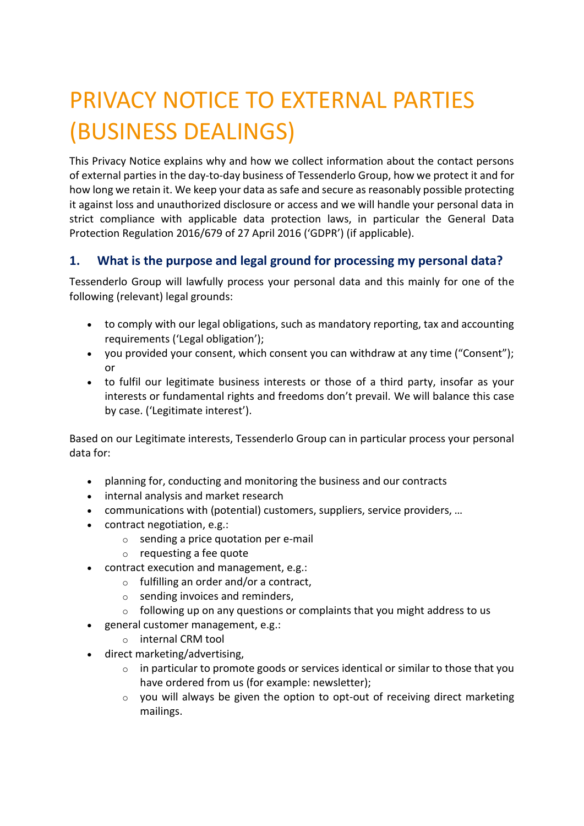# PRIVACY NOTICE TO EXTERNAL PARTIES (BUSINESS DEALINGS)

This Privacy Notice explains why and how we collect information about the contact persons of external parties in the day-to-day business of Tessenderlo Group, how we protect it and for how long we retain it. We keep your data as safe and secure as reasonably possible protecting it against loss and unauthorized disclosure or access and we will handle your personal data in strict compliance with applicable data protection laws, in particular the General Data Protection Regulation 2016/679 of 27 April 2016 ('GDPR') (if applicable).

# **1. What is the purpose and legal ground for processing my personal data?**

Tessenderlo Group will lawfully process your personal data and this mainly for one of the following (relevant) legal grounds:

- to comply with our legal obligations, such as mandatory reporting, tax and accounting requirements ('Legal obligation');
- you provided your consent, which consent you can withdraw at any time ("Consent"); or
- to fulfil our legitimate business interests or those of a third party, insofar as your interests or fundamental rights and freedoms don't prevail. We will balance this case by case. ('Legitimate interest').

Based on our Legitimate interests, Tessenderlo Group can in particular process your personal data for:

- planning for, conducting and monitoring the business and our contracts
- internal analysis and market research
- communications with (potential) customers, suppliers, service providers, …
- contract negotiation, e.g.:
	- o sending a price quotation per e-mail
	- o requesting a fee quote
- contract execution and management, e.g.:
	- $\circ$  fulfilling an order and/or a contract,
	- $\circ$  sending invoices and reminders,
	- $\circ$  following up on any questions or complaints that you might address to us
- general customer management, e.g.:
	- o internal CRM tool
- direct marketing/advertising,
	- $\circ$  in particular to promote goods or services identical or similar to those that you have ordered from us (for example: newsletter);
	- o you will always be given the option to opt-out of receiving direct marketing mailings.